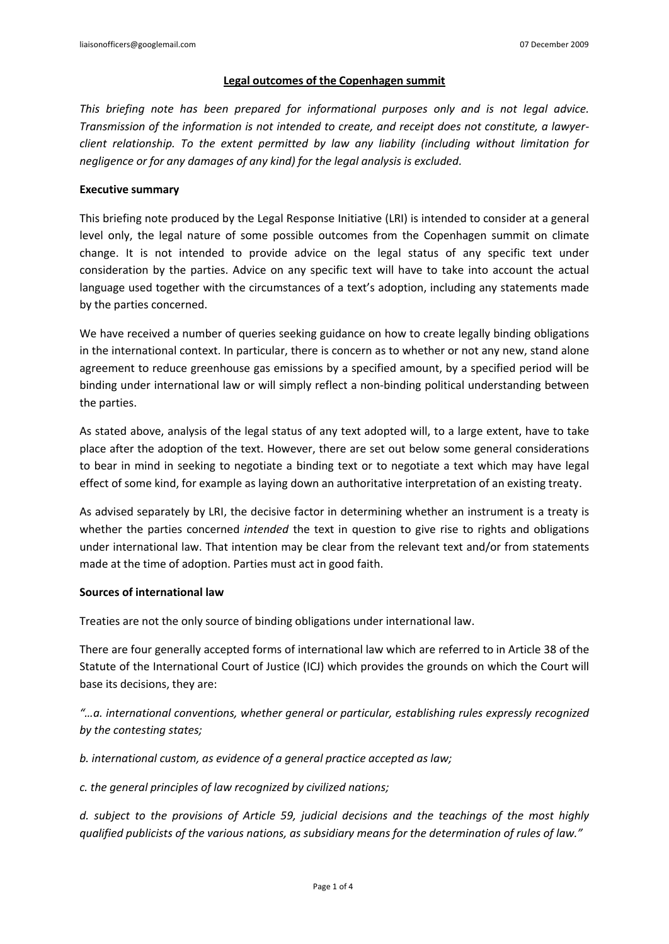### **Legal outcomes of the Copenhagen summit**

*This briefing note has been prepared for informational purposes only and is not legal advice. Transmission of the information is not intended to create, and receipt does not constitute, a lawyerclient relationship. To the extent permitted by law any liability (including without limitation for negligence or for any damages of any kind) for the legal analysis is excluded.*

# **Executive summary**

This briefing note produced by the Legal Response Initiative (LRI) is intended to consider at a general level only, the legal nature of some possible outcomes from the Copenhagen summit on climate change. It is not intended to provide advice on the legal status of any specific text under consideration by the parties. Advice on any specific text will have to take into account the actual language used together with the circumstances of a text's adoption, including any statements made by the parties concerned.

We have received a number of queries seeking guidance on how to create legally binding obligations in the international context. In particular, there is concern as to whether or not any new, stand alone agreement to reduce greenhouse gas emissions by a specified amount, by a specified period will be binding under international law or will simply reflect a non-binding political understanding between the parties.

As stated above, analysis of the legal status of any text adopted will, to a large extent, have to take place after the adoption of the text. However, there are set out below some general considerations to bear in mind in seeking to negotiate a binding text or to negotiate a text which may have legal effect of some kind, for example as laying down an authoritative interpretation of an existing treaty.

As advised separately by LRI, the decisive factor in determining whether an instrument is a treaty is whether the parties concerned *intended* the text in question to give rise to rights and obligations under international law. That intention may be clear from the relevant text and/or from statements made at the time of adoption. Parties must act in good faith.

# **Sources of international law**

Treaties are not the only source of binding obligations under international law.

There are four generally accepted forms of international law which are referred to in Article 38 of the Statute of the International Court of Justice (ICJ) which provides the grounds on which the Court will base its decisions, they are:

*"…a. international conventions, whether general or particular, establishing rules expressly recognized by the contesting states;* 

*b. international custom, as evidence of a general practice accepted as law;* 

*c. the general principles of law recognized by civilized nations;* 

*d. subject to the provisions of Article 59, judicial decisions and the teachings of the most highly qualified publicists of the various nations, as subsidiary means for the determination of rules of law."*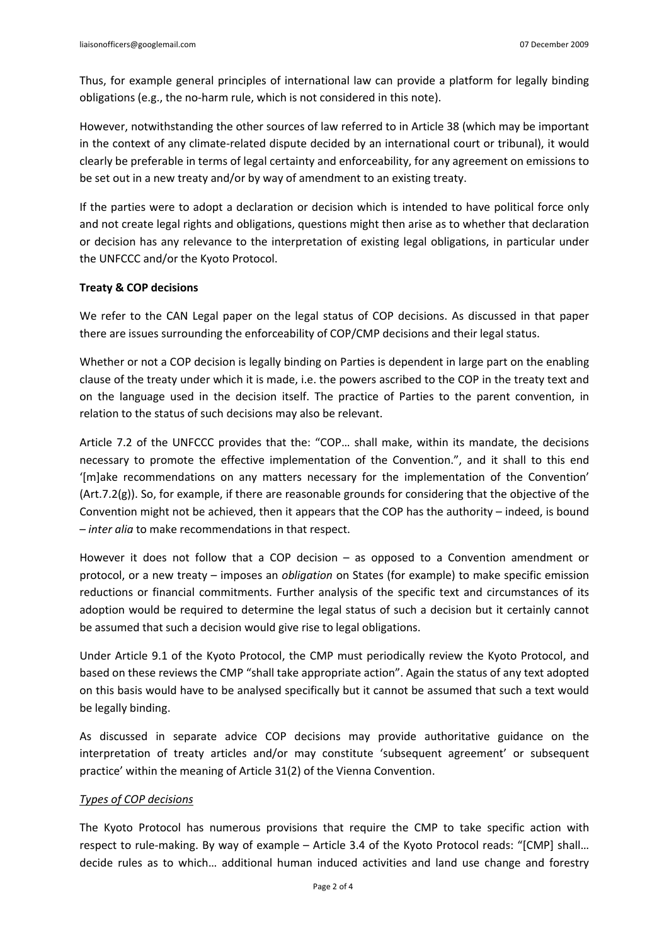Thus, for example general principles of international law can provide a platform for legally binding obligations (e.g., the no-harm rule, which is not considered in this note).

However, notwithstanding the other sources of law referred to in Article 38 (which may be important in the context of any climate-related dispute decided by an international court or tribunal), it would clearly be preferable in terms of legal certainty and enforceability, for any agreement on emissions to be set out in a new treaty and/or by way of amendment to an existing treaty.

If the parties were to adopt a declaration or decision which is intended to have political force only and not create legal rights and obligations, questions might then arise as to whether that declaration or decision has any relevance to the interpretation of existing legal obligations, in particular under the UNFCCC and/or the Kyoto Protocol.

# **Treaty & COP decisions**

We refer to the CAN Legal paper on the legal status of COP decisions. As discussed in that paper there are issues surrounding the enforceability of COP/CMP decisions and their legal status.

Whether or not a COP decision is legally binding on Parties is dependent in large part on the enabling clause of the treaty under which it is made, i.e. the powers ascribed to the COP in the treaty text and on the language used in the decision itself. The practice of Parties to the parent convention, in relation to the status of such decisions may also be relevant.

Article 7.2 of the UNFCCC provides that the: "COP… shall make, within its mandate, the decisions necessary to promote the effective implementation of the Convention.", and it shall to this end '[m]ake recommendations on any matters necessary for the implementation of the Convention' (Art.7.2(g)). So, for example, if there are reasonable grounds for considering that the objective of the Convention might not be achieved, then it appears that the COP has the authority – indeed, is bound – *inter alia* to make recommendations in that respect.

However it does not follow that a COP decision – as opposed to a Convention amendment or protocol, or a new treaty – imposes an *obligation* on States (for example) to make specific emission reductions or financial commitments. Further analysis of the specific text and circumstances of its adoption would be required to determine the legal status of such a decision but it certainly cannot be assumed that such a decision would give rise to legal obligations.

Under Article 9.1 of the Kyoto Protocol, the CMP must periodically review the Kyoto Protocol, and based on these reviews the CMP "shall take appropriate action". Again the status of any text adopted on this basis would have to be analysed specifically but it cannot be assumed that such a text would be legally binding.

As discussed in separate advice COP decisions may provide authoritative guidance on the interpretation of treaty articles and/or may constitute 'subsequent agreement' or subsequent practice' within the meaning of Article 31(2) of the Vienna Convention.

# *Types of COP decisions*

The Kyoto Protocol has numerous provisions that require the CMP to take specific action with respect to rule-making. By way of example – Article 3.4 of the Kyoto Protocol reads: "[CMP] shall… decide rules as to which… additional human induced activities and land use change and forestry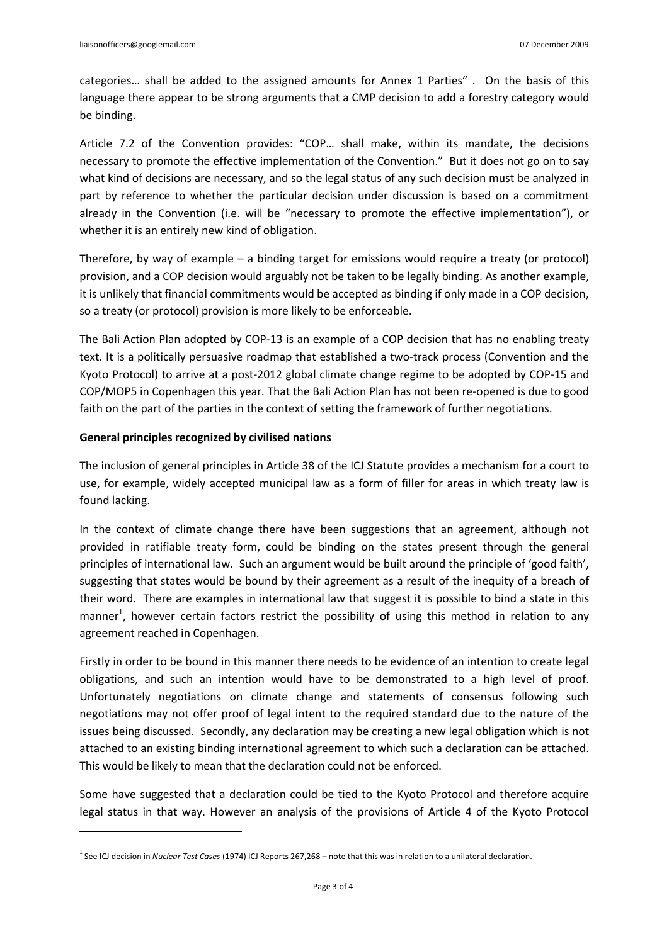categories… shall be added to the assigned amounts for Annex 1 Parties" . On the basis of this language there appear to be strong arguments that a CMP decision to add a forestry category would be binding.

Article 7.2 of the Convention provides: "COP… shall make, within its mandate, the decisions necessary to promote the effective implementation of the Convention." But it does not go on to say what kind of decisions are necessary, and so the legal status of any such decision must be analyzed in part by reference to whether the particular decision under discussion is based on a commitment already in the Convention (i.e. will be "necessary to promote the effective implementation"), or whether it is an entirely new kind of obligation.

Therefore, by way of example – a binding target for emissions would require a treaty (or protocol) provision, and a COP decision would arguably not be taken to be legally binding. As another example, it is unlikely that financial commitments would be accepted as binding if only made in a COP decision, so a treaty (or protocol) provision is more likely to be enforceable.

The Bali Action Plan adopted by COP-13 is an example of a COP decision that has no enabling treaty text. It is a politically persuasive roadmap that established a two-track process (Convention and the Kyoto Protocol) to arrive at a post-2012 global climate change regime to be adopted by COP-15 and COP/MOP5 in Copenhagen this year. That the Bali Action Plan has not been re-opened is due to good faith on the part of the parties in the context of setting the framework of further negotiations.

# **General principles recognized by civilised nations**

The inclusion of general principles in Article 38 of the ICJ Statute provides a mechanism for a court to use, for example, widely accepted municipal law as a form of filler for areas in which treaty law is found lacking.

In the context of climate change there have been suggestions that an agreement, although not provided in ratifiable treaty form, could be binding on the states present through the general principles of international law. Such an argument would be built around the principle of 'good faith', suggesting that states would be bound by their agreement as a result of the inequity of a breach of their word. There are examples in international law that suggest it is possible to bind a state in this manner<sup>1</sup>, however certain factors restrict the possibility of using this method in relation to any agreement reached in Copenhagen.

Firstly in order to be bound in this manner there needs to be evidence of an intention to create legal obligations, and such an intention would have to be demonstrated to a high level of proof. Unfortunately negotiations on climate change and statements of consensus following such negotiations may not offer proof of legal intent to the required standard due to the nature of the issues being discussed. Secondly, any declaration may be creating a new legal obligation which is not attached to an existing binding international agreement to which such a declaration can be attached. This would be likely to mean that the declaration could not be enforced.

Some have suggested that a declaration could be tied to the Kyoto Protocol and therefore acquire legal status in that way. However an analysis of the provisions of Article 4 of the Kyoto Protocol

<sup>1</sup> See ICJ decision in *Nuclear Test Cases* (1974) ICJ Reports 267,268 – note that this was in relation to a unilateral declaration.